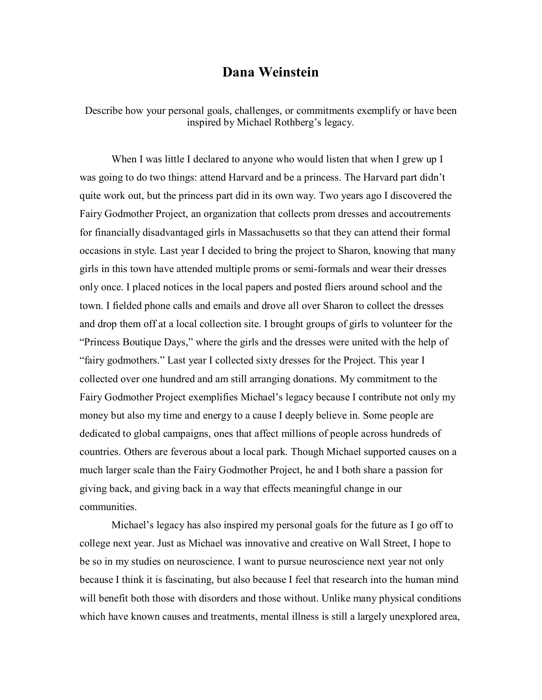## **Dana Weinstein**

Describe how your personal goals, challenges, or commitments exemplify or have been inspired by Michael Rothberg's legacy.

When I was little I declared to anyone who would listen that when I grew up I was going to do two things: attend Harvard and be a princess. The Harvard part didn't quite work out, but the princess part did in its own way. Two years ago I discovered the Fairy Godmother Project, an organization that collects prom dresses and accoutrements for financially disadvantaged girls in Massachusetts so that they can attend their formal occasions in style. Last year I decided to bring the project to Sharon, knowing that many girls in this town have attended multiple proms or semi-formals and wear their dresses only once. I placed notices in the local papers and posted fliers around school and the town. I fielded phone calls and emails and drove all over Sharon to collect the dresses and drop them offat a local collection site. I brought groups of girls to volunteer for the "Princess Boutique Days," where the girls and the dresses were united with the help of "fairy godmothers." Last year I collected sixty dresses for the Project. This year I collected over one hundred and am still arranging donations. My commitment to the Fairy Godmother Project exemplifies Michael's legacy because I contribute not only my money but also my time and energy to a cause I deeply believe in. Some people are dedicated to global campaigns, ones that affect millions of people across hundreds of countries. Others are feverous about a local park. Though Michael supported causes on a much larger scale than the Fairy Godmother Project, he and Iboth share a passion for giving back, and giving back in a way that effects meaningful change in our communities.

Michael's legacy has also inspired my personal goals for the future as I go off to college next year. Just as Michael was innovative and creative on Wall Street, I hope to be so in my studies on neuroscience. I want to pursue neuroscience next year not only because I think it is fascinating, but also because I feel that research into the human mind will benefit both those with disorders and those without. Unlike many physical conditions which have known causes and treatments, mental illness is still a largely unexplored area,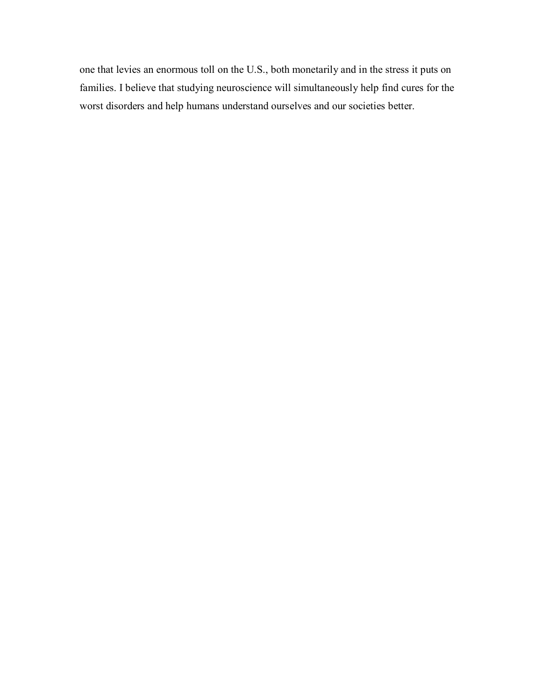one that levies an enormous toll on the U.S., both monetarily and in the stress it puts on families. I believe that studying neuroscience will simultaneously help find cures for the worst disorders and help humans understand ourselves and our societies better.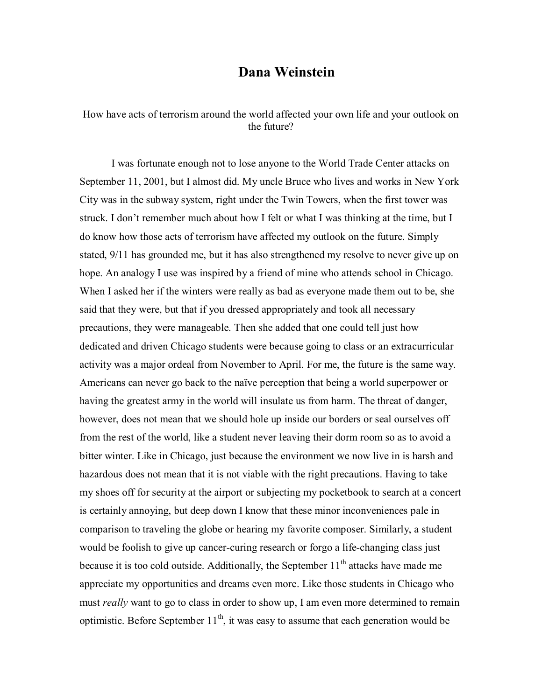## **Dana Weinstein**

How have acts of terrorism around the world affected your own life and your outlook on the future?

I was fortunate enough not to lose anyone to the World Trade Center attacks on September 11, 2001, but I almost did. My uncle Bruce who lives and works in New York City was in the subway system, right under the Twin Towers, when the first tower was struck. I don't remember much about how I felt or what I was thinking at the time, but I do know how those acts of terrorism have affected my outlook on the future. Simply stated, 9/11 has grounded me, but it has also strengthened my resolve to never give up on hope. An analogy I use was inspired by a friend of mine who attends school in Chicago. When I asked her if the winters were really as bad as everyone made them out to be, she said that they were, but that if you dressed appropriately and took all necessary precautions, they were manageable. Then she added that one could tell just how dedicated and driven Chicago students were because going to class or an extracurricular activity was a major ordeal from November to April. For me, the future is the same way. Americans can never go back to the naïve perception that being a world superpower or having the greatest army in the world will insulate us from harm. The threat of danger, however, does not mean that we should hole up inside our borders or seal ourselves off from the rest of the world, like a student never leaving their dorm room so as to avoid a bitter winter. Like in Chicago, just because the environment we now live in is harsh and hazardous does not mean that it is not viable with the right precautions. Having to take my shoes off for security at the airport or subjecting my pocketbook to search at a concert is certainly annoying, but deep down I know that these minor inconveniences pale in comparison to traveling the globe or hearing my favorite composer. Similarly, a student would be foolish to give up cancer-curing research or forgo a life-changing class just because it is too cold outside. Additionally, the September  $11<sup>th</sup>$  attacks have made me appreciate my opportunities and dreams even more. Like those students in Chicago who must *really* want to go to class in order to show up, I am even more determined to remain optimistic. Before September  $11<sup>th</sup>$ , it was easy to assume that each generation would be